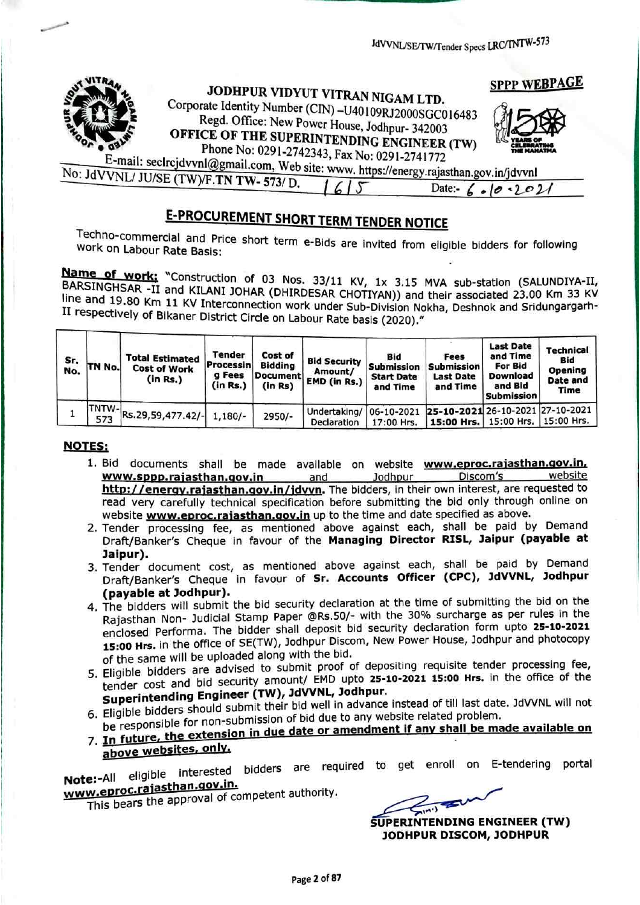

# **E-PROCUREMENT SHORT TERM TENDER NOTICE**

Techno-commercial and Price short term e-Bids are invited from eligible bidders for following<br>work on Labour Rate Basis:

Name of work; "Construction of 03 Nos. 33/11 KV, 1x 3.15 MVA sub-station (SALUNDIYA-II, BARSINGHSAR -II and KILANI JOHAR (DHIRDESAR CHOTIYAN)) and their associated 23.00 Km 33 KV line and 19.80 Km 11 KV Interconnection work under Sub-Division Nokha, Deshnok and Sridungargarh-<br>II respectively of Bikaner District Circle on Labour Rate basis (2020)." II respectively of Bikaner District Circle on Labour Rate basis (2020)."

| Sr.<br>No. | TN No. | <b>Total Estimated</b><br><b>Cost of Work</b><br>(in Rs.) | Tender<br><b>Processin</b><br>g Fees<br>(in Rs.) | <b>Cost of</b><br><b>Bidding</b><br><b>Document</b><br>(in Rs) | <b>Bid Security</b><br>Amount/<br>EMD (in Rs.) | Bid<br><b>Submission</b><br><b>Start Date</b><br>and Time | Fees<br><b>Submission</b><br><b>Last Date</b><br>and Time                             | <b>Last Date</b><br>and Time<br>For Bid<br>Download<br>and Bid<br><b>Submission</b> | Technical<br>Bid<br>Opening<br>Date and<br>Time |
|------------|--------|-----------------------------------------------------------|--------------------------------------------------|----------------------------------------------------------------|------------------------------------------------|-----------------------------------------------------------|---------------------------------------------------------------------------------------|-------------------------------------------------------------------------------------|-------------------------------------------------|
|            |        | $1$ TNTW-Rs.29,59,477.42/-                                | $1,180/-$                                        | $2950/-$                                                       | Undertaking/<br>Declaration                    | 17:00 Hrs.                                                | 06-10-2021 25-10-2021 26-10-2021 27-10-2021<br>  15:00 Hrs.   15:00 Hrs.   15:00 Hrs. |                                                                                     |                                                 |

### NOTES:

- 1. Bid documents shall be made available on website www.eproc.rajasthan.gov.in.<br>www.sppp.rajasthan.gov.in and Jodhpur Discom's website<br>http://energy.rajasthan.gov.in/jdvyn. The bidders, in their own interest, are requested
- read very carefully technical specification before submitting the bid only through online on<br>website **www.eproc.rajasthan.gov.in** up to the time and date specified as above.<br>2. Tender processing fee, as mentioned above aga
- Jaipur).<br>3. Tender document cost, as mentioned above against each, shall be paid by Demand Draft/Banker's Cheque in favour of Sr. Accounts Officer (CPC), JdVVNL, Jodhpur<br>(payable at Jodhpur).
- 4. The bidders will submit the bid security declaration at the time of submitting the bid on the Rajasthan Non- Judicial Stamp Paper @Rs.50/- with the 30% surcharge as per rules in the enclosed Performa. The bidder shall deposit bid security declaration form upto 25-10-2021 15:00 Hrs. in the office of SE(TW), Jodhpur Discom, New Power House, Jodhpur and photocopy of the same will be uploaded along with the bid.
- 5. Eligible bidders are advised to submit proof of depositing requisite tender processing fee, tender cost and bid security amount/ EMD upto 25-10-2021 15:00 Hrs. in the office of the Engineer (TW), JdVVNL, Jodhpur.
- Superintending Engineer (1997) and well in advance instead of till last date. JdVVNL will not 6. Eligible bidders should submit their bid well in advance instead of till last date. JdVVNL will not 6. Eligible bidders shoul for non-submission of bid due to any website related problem.

# be responsible for hold submission in due date or amendment if a

Note:-All eligible interested bidders are required to get enroll on E-tendering portal www.eproc.rajasthan.gov.in.

W.eproc. This bears the approval of competent authority.

SUPERINTENDING ENGINEER (TW) JODHPUR DISCOM, JODHPUR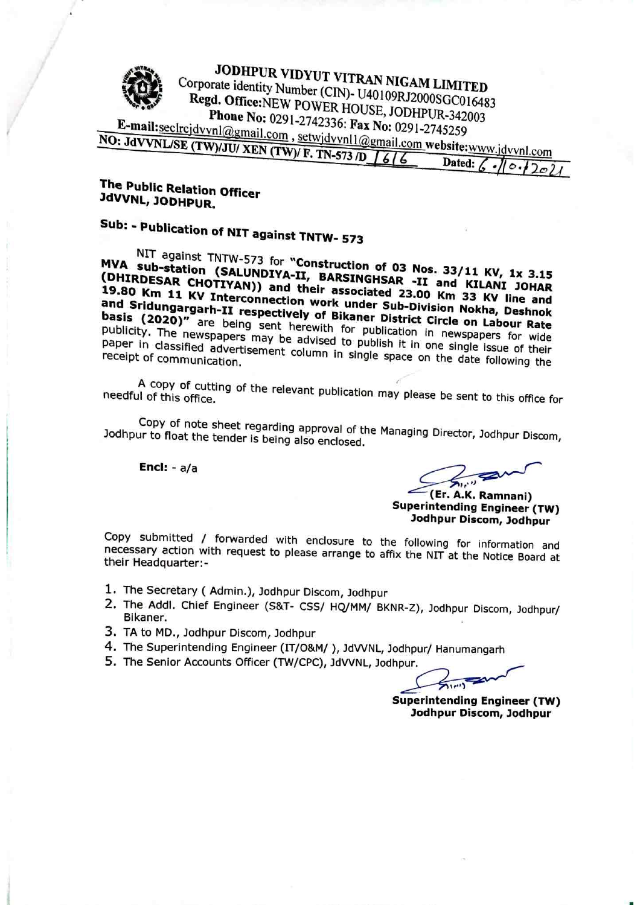

| $-0.00$ | Dated: $\overline{\phantom{a}}$ |
|---------|---------------------------------|
|         |                                 |
|         |                                 |

### **The Public Relation Officer** JdVVNL, JODHPUR.

# **Subindation of NIT against TNTW- 573**

sub-station (SALUNDIYA-II, BARSINGHEAD Nos. 33/11 KV, 1x 3.15<br>Sub-station (SALUNDIYA-II, BARSINGHEAD (DHIRDESAR CHOTIYAN)) and their associated 23.00 Km 33.001 JOHAR KV Interconnection work was detailed 23.00 Km 33 KV line fields and 80 Km 11 KV Interconnection work under Sub-Division Nokha, Deshnok and Sridungargarh-II respectively of Bikaner District Circle on Labour Rate paper in classified publication in new spapers for wide receint of community devertisement column in single space on the c single issue of the control of the single interest of the single state of the single state of the single state of the single state of the single state of the single state of the single state of the single state of the sing single space on the date following the receipt of communication.

of this office. The relevant publication may please be sent to this office for needful of this office.

Jodhpur to float the tender is being also enclosed<br>Jodhpur to float the tender is being also enclosed Jodhpur to float the tender is being also enclosed.

Encl:  $- a/a$ 

 $\mu$   $\mu$ 

Cer. A.K. Ramnani)<br>Superintending Engineer (TW)  $\sim$ John Discount Discount Port

necessary action with request to please arrange to the following for information and<br>heir Hoodeup term with request to please arrange to affix the NIT at the Notice Board at their Headquarter:

- 1. The Secretary Admin.), Jodhpur Discom, Jodhpur
- The Addl. Chief Engineer (S&T- css/ HQ/MM/ BKNR-Z), Jodhpur Discom, Jodhpur/ Bikaner.
- 3. TA to MD., Jodhpur Discom, Jodhpur
- The Superintending Engineer (IT/O&M/ ), JdVVNL, Jodhpur/ anumangarh
- 5. The Senior Accounts Officer (TW/CPC), JdVVNL, Jodhpur.

set the set of the set of the set of the set of the set of the set of the set of the set of the set of the set

Superintending Engineer (TW) and the contract of the contract of the contract of the contract of the contract of the contract of the contract of the contract of the contract of the contract of the contract of the contract John Discom, John Discom, John Discom, John Discom, John Discom, John Discom, John Discom, John Discom, John D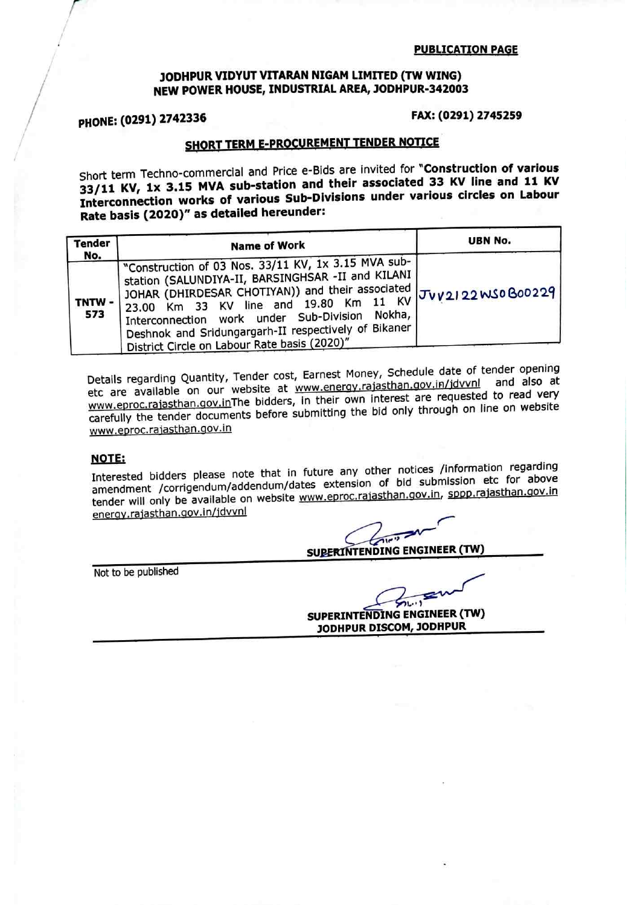### JODHPUR VIDYUT VITARAN NIGAM LIMITED (TW WING) NEW POWER HOUSE, INDUSTRIAL AREA, JODHPUR-342003

PHONE: (0291) <sup>2742336</sup> FAX: (0291) <sup>2745259</sup>

## SHORT TERM E-PROCUREMENT TENDER NOTICE

Short term Techno-commercial and Price e-Bids are invited for "Construction of various<br>33/11 KV, 1x 3.15 MVA sub-station and their associated 33 KV line and 11 KV  $33/11$  KV, 1x 3.15 MVA sub-station and their associated various similar  $\frac{1}{2}$  and 12  $\frac{1}{2}$  and 12  $\frac{1}{2}$ Interconnection works of various Sub-Divisions under various circles on Labour Rate basis (2020)" as detailed hereunder:

| <b>Tender</b>       | <b>Name of Work</b>                                                                                                                                                                                                                                                                                                                                               | <b>UBN No.</b>      |  |
|---------------------|-------------------------------------------------------------------------------------------------------------------------------------------------------------------------------------------------------------------------------------------------------------------------------------------------------------------------------------------------------------------|---------------------|--|
| No.<br>TNTW-<br>573 | "Construction of 03 Nos. 33/11 KV, 1x 3.15 MVA sub-<br>station (SALUNDIYA-II, BARSINGHSAR -II and KILANI<br>'JOHAR (DHIRDESAR CHOTIYAN)) and their associated<br>23.00 Km 33 KV line and 19.80 Km 11 KV<br>Interconnection work under Sub-Division Nokha,<br>Deshnok and Sridungargarh-II respectively of Bikaner<br>District Circle on Labour Rate basis (2020)" | ' JUV2122WS0B00229, |  |

Details regarding Quantity, Tender cost, Earnest Money, Schedule date of tender opening regarding Quantity, Tender cost, Earnest Money, Schedule date of tender and also at etc are available on our website at www.energy.rajastrial.gov.in/jovy.in and every www.eproc.rajasthan.gov.inThe bidders, in their own interest are requested to be provided to be provided to re carefully the tender documents before submitting the bid only through on line on website www.eproc.rajasthan.gov.in

### **NOTE:**

Interested bidders please note that in future any other notices /information regarding Interested bidders please note that in future any other hid submission etc for above amendment /corrigendum/addendum/dates extension of bid submission etc for above in tender will only be available on website www.eproc,rajasthan.gov,in, sppp.raiasthan.gov.in energy.rajasthan.gov.in/jdvvnl

SUPERINTENDING ENGINEER (TW)

Not to be published Not to be published

SUPERINTENDING ENGINEER (TW) JODHPUR DISCOM, JODRPUR